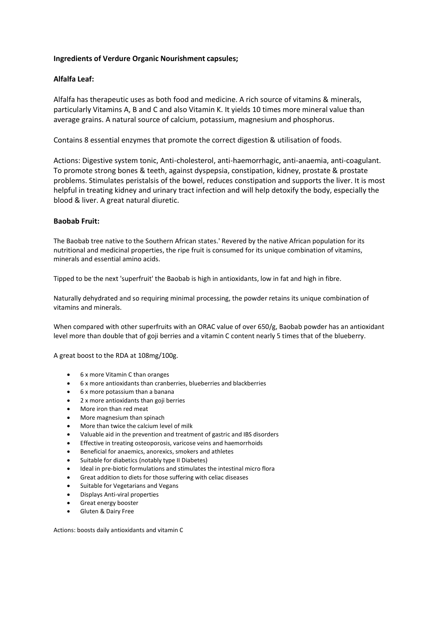# **Ingredients of Verdure Organic Nourishment capsules;**

# **Alfalfa Leaf:**

Alfalfa has therapeutic uses as both food and medicine. A rich source of vitamins & minerals, particularly Vitamins A, B and C and also Vitamin K. It yields 10 times more mineral value than average grains. A natural source of calcium, potassium, magnesium and phosphorus.

Contains 8 essential enzymes that promote the correct digestion & utilisation of foods.

Actions: Digestive system tonic, Anti-cholesterol, anti-haemorrhagic, anti-anaemia, anti-coagulant. To promote strong bones & teeth, against dyspepsia, constipation, kidney, prostate & prostate problems. Stimulates peristalsis of the bowel, reduces constipation and supports the liver. It is most helpful in treating kidney and urinary tract infection and will help detoxify the body, especially the blood & liver. A great natural diuretic.

### **Baobab Fruit:**

The Baobab tree native to the Southern African states.' Revered by the native African population for its nutritional and medicinal properties, the ripe fruit is consumed for its unique combination of vitamins, minerals and essential amino acids.

Tipped to be the next 'superfruit' the Baobab is high in antioxidants, low in fat and high in fibre.

Naturally dehydrated and so requiring minimal processing, the powder retains its unique combination of vitamins and minerals.

When compared with other superfruits with an ORAC value of over 650/g, Baobab powder has an antioxidant level more than double that of goji berries and a vitamin C content nearly 5 times that of the blueberry.

A great boost to the RDA at 108mg/100g.

- 6 x more Vitamin C than oranges
- 6 x more antioxidants than cranberries, blueberries and blackberries
- 6 x more potassium than a banana
- 2 x more antioxidants than goji berries
- More iron than red meat
- More magnesium than spinach
- More than twice the calcium level of milk
- Valuable aid in the prevention and treatment of gastric and IBS disorders
- Effective in treating osteoporosis, varicose veins and haemorrhoids
- Beneficial for anaemics, anorexics, smokers and athletes
- Suitable for diabetics (notably type II Diabetes)
- Ideal in pre-biotic formulations and stimulates the intestinal micro flora
- Great addition to diets for those suffering with celiac diseases
- Suitable for Vegetarians and Vegans
- Displays Anti-viral properties
- Great energy booster
- Gluten & Dairy Free

Actions: boosts daily antioxidants and vitamin C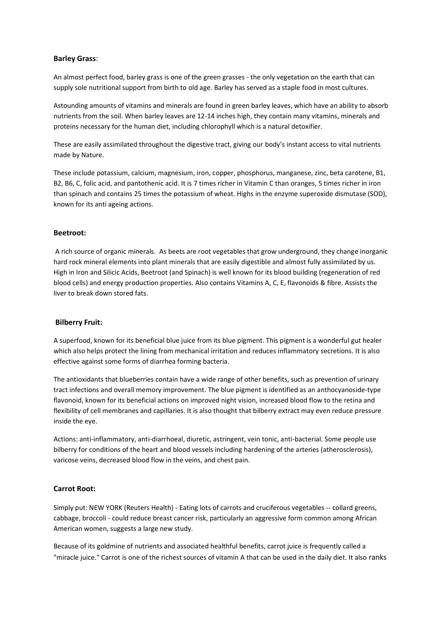### **Barley Grass**:

An almost perfect food, barley grass is one of the green grasses - the only vegetation on the earth that can supply sole nutritional support from birth to old age. Barley has served as a staple food in most cultures.

Astounding amounts of vitamins and minerals are found in green barley leaves, which have an ability to absorb nutrients from the soil. When barley leaves are 12-14 inches high, they contain many vitamins, minerals and proteins necessary for the human diet, including chlorophyll which is a natural detoxifier.

These are easily assimilated throughout the digestive tract, giving our body's instant access to vital nutrients made by Nature.

These include potassium, calcium, magnesium, iron, copper, phosphorus, manganese, zinc, beta carotene, B1, B2, B6, C, folic acid, and pantothenic acid. It is 7 times richer in Vitamin C than oranges, 5 times richer in iron than spinach and contains 25 times the potassium of wheat. Highs in the enzyme superoxide dismutase (SOD), known for its anti ageing actions.

### **Beetroot:**

A rich source of organic minerals. As beets are root vegetables that grow underground, they change inorganic hard rock mineral elements into plant minerals that are easily digestible and almost fully assimilated by us. High in Iron and Silicic Acids, Beetroot (and Spinach) is well known for its blood building (regeneration of red blood cells) and energy production properties. Also contains Vitamins A, C, E, flavonoids & fibre. Assists the liver to break down stored fats.

### **Bilberry Fruit:**

A superfood, known for its beneficial blue juice from its blue pigment. This pigment is a wonderful gut healer which also helps protect the lining from mechanical irritation and reduces inflammatory secretions. It is also effective against some forms of diarrhea forming bacteria.

The antioxidants that blueberries contain have a wide range of other benefits, such as prevention of urinary tract infections and overall memory improvement. The blue pigment is identified as an anthocyanoside-type flavonoid, known for its beneficial actions on improved night vision, increased blood flow to the retina and flexibility of cell membranes and capillaries. It is also thought that bilberry extract may even reduce pressure inside the eye.

Actions: anti-inflammatory, anti-diarrhoeal, diuretic, astringent, vein tonic, anti-bacterial. Some people use bilberry for conditions of the heart and blood vessels including hardening of the arteries (atherosclerosis), varicose veins, decreased blood flow in the veins, and chest pain.

### **Carrot Root:**

Simply put: NEW YORK (Reuters Health) - Eating lots of carrots and cruciferous vegetables -- collard greens, cabbage, broccoli - could reduce breast cancer risk, particularly an aggressive form common among African American women, suggests a large new study.

Because of its goldmine of nutrients and associated healthful benefits, carrot juice is frequently called a "miracle juice." Carrot is one of the richest sources of vitamin A that can be used in the daily diet. It also ranks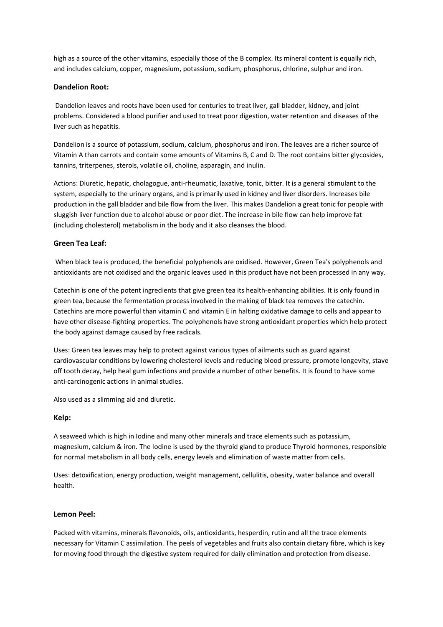high as a source of the other vitamins, especially those of the B complex. Its mineral content is equally rich, and includes calcium, copper, magnesium, potassium, sodium, phosphorus, chlorine, sulphur and iron.

# **Dandelion Root:**

Dandelion leaves and roots have been used for centuries to treat liver, gall bladder, kidney, and joint problems. Considered a blood purifier and used to treat poor digestion, water retention and diseases of the liver such as hepatitis.

Dandelion is a source of potassium, sodium, calcium, phosphorus and iron. The leaves are a richer source of Vitamin A than carrots and contain some amounts of Vitamins B, C and D. The root contains bitter glycosides, tannins, triterpenes, sterols, volatile oil, choline, asparagin, and inulin.

Actions: Diuretic, hepatic, cholagogue, anti-rheumatic, laxative, tonic, bitter. It is a general stimulant to the system, especially to the urinary organs, and is primarily used in kidney and liver disorders. Increases bile production in the gall bladder and bile flow from the liver. This makes Dandelion a great tonic for people with sluggish liver function due to alcohol abuse or poor diet. The increase in bile flow can help improve fat (including cholesterol) metabolism in the body and it also cleanses the blood.

### **Green Tea Leaf:**

When black tea is produced, the beneficial polyphenols are oxidised. However, Green Tea's polyphenols and antioxidants are not oxidised and the organic leaves used in this product have not been processed in any way.

Catechin is one of the potent ingredients that give green tea its health-enhancing abilities. It is only found in green tea, because the fermentation process involved in the making of black tea removes the catechin. Catechins are more powerful than vitamin C and vitamin E in halting oxidative damage to cells and appear to have other disease-fighting properties. The polyphenols have strong antioxidant properties which help protect the body against damage caused by free radicals.

Uses: Green tea leaves may help to protect against various types of ailments such as guard against cardiovascular conditions by lowering cholesterol levels and reducing blood pressure, promote longevity, stave off tooth decay, help heal gum infections and provide a number of other benefits. It is found to have some anti-carcinogenic actions in animal studies.

Also used as a slimming aid and diuretic.

### **Kelp:**

A seaweed which is high in Iodine and many other minerals and trace elements such as potassium, magnesium, calcium & iron. The Iodine is used by the thyroid gland to produce Thyroid hormones, responsible for normal metabolism in all body cells, energy levels and elimination of waste matter from cells.

Uses: detoxification, energy production, weight management, cellulitis, obesity, water balance and overall health.

### **Lemon Peel:**

Packed with vitamins, minerals flavonoids, oils, antioxidants, hesperdin, rutin and all the trace elements necessary for Vitamin C assimilation. The peels of vegetables and fruits also contain dietary fibre, which is key for moving food through the digestive system required for daily elimination and protection from disease.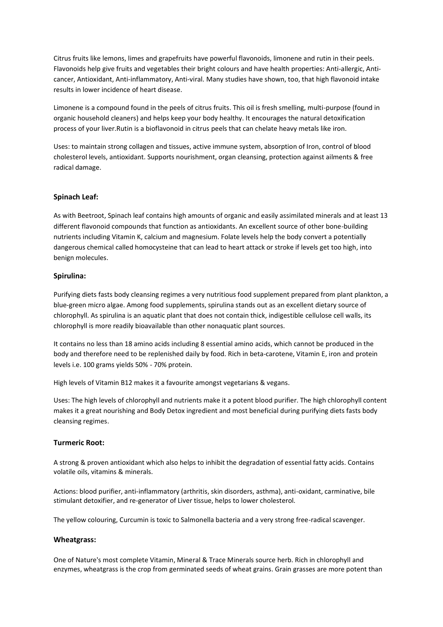Citrus fruits like lemons, limes and grapefruits have powerful flavonoids, limonene and rutin in their peels. Flavonoids help give fruits and vegetables their bright colours and have health properties: Anti-allergic, Anticancer, Antioxidant, Anti-inflammatory, Anti-viral. Many studies have shown, too, that high flavonoid intake results in lower incidence of heart disease.

Limonene is a compound found in the peels of citrus fruits. This oil is fresh smelling, multi-purpose (found in organic household cleaners) and helps keep your body healthy. It encourages the natural detoxification process of your liver.Rutin is a bioflavonoid in citrus peels that can chelate heavy metals like iron.

Uses: to maintain strong collagen and tissues, active immune system, absorption of Iron, control of blood cholesterol levels, antioxidant. Supports nourishment, organ cleansing, protection against ailments & free radical damage.

### **Spinach Leaf:**

As with Beetroot, Spinach leaf contains high amounts of organic and easily assimilated minerals and at least 13 different flavonoid compounds that function as antioxidants. An excellent source of other bone-building nutrients including Vitamin K, calcium and magnesium. Folate levels help the body convert a potentially dangerous chemical called homocysteine that can lead to heart attack or stroke if levels get too high, into benign molecules.

### **Spirulina:**

Purifying diets fasts body cleansing regimes a very nutritious food supplement prepared from plant plankton, a blue-green micro algae. Among food supplements, spirulina stands out as an excellent dietary source of chlorophyll. As spirulina is an aquatic plant that does not contain thick, indigestible cellulose cell walls, its chlorophyll is more readily bioavailable than other nonaquatic plant sources.

It contains no less than 18 amino acids including 8 essential amino acids, which cannot be produced in the body and therefore need to be replenished daily by food. Rich in beta-carotene, Vitamin E, iron and protein levels i.e. 100 grams yields 50% - 70% protein.

High levels of Vitamin B12 makes it a favourite amongst vegetarians & vegans.

Uses: The high levels of chlorophyll and nutrients make it a potent blood purifier. The high chlorophyll content makes it a great nourishing and Body Detox ingredient and most beneficial during purifying diets fasts body cleansing regimes.

### **Turmeric Root:**

A strong & proven antioxidant which also helps to inhibit the degradation of essential fatty acids. Contains volatile oils, vitamins & minerals.

Actions: blood purifier, anti-inflammatory (arthritis, skin disorders, asthma), anti-oxidant, carminative, bile stimulant detoxifier, and re-generator of Liver tissue, helps to lower cholesterol.

The yellow colouring, Curcumin is toxic to Salmonella bacteria and a very strong free-radical scavenger.

### **Wheatgrass:**

One of Nature's most complete Vitamin, Mineral & Trace Minerals source herb. Rich in chlorophyll and enzymes, wheatgrass is the crop from germinated seeds of wheat grains. Grain grasses are more potent than